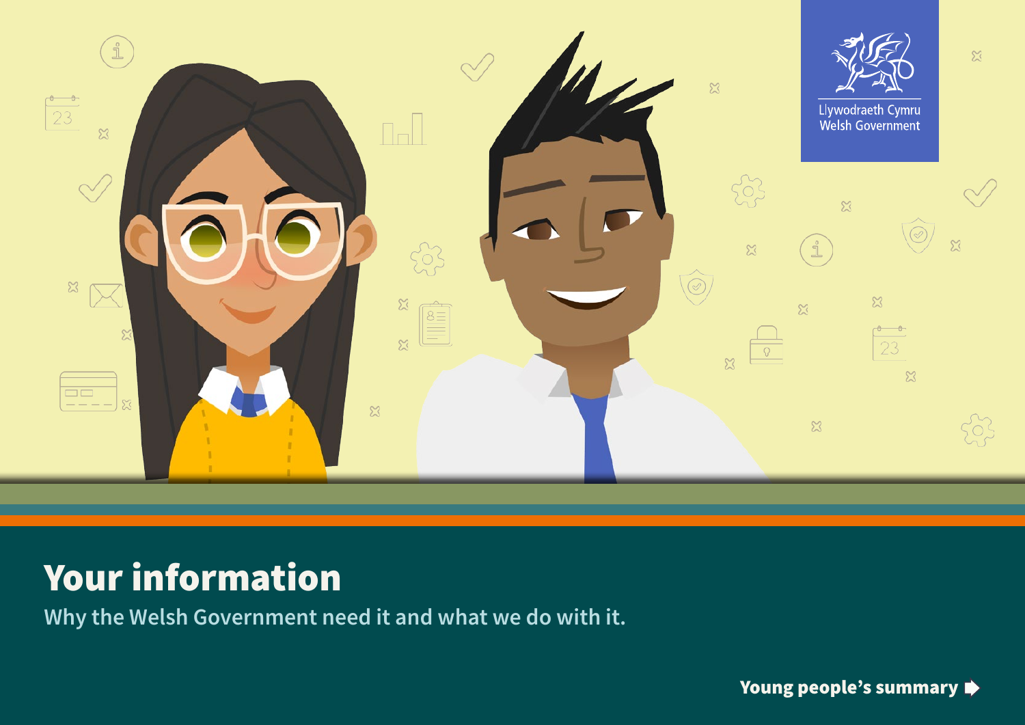

# Your information

**Why the Welsh Government need it and what we do with it.**

Young people's summary  $\blacktriangleright$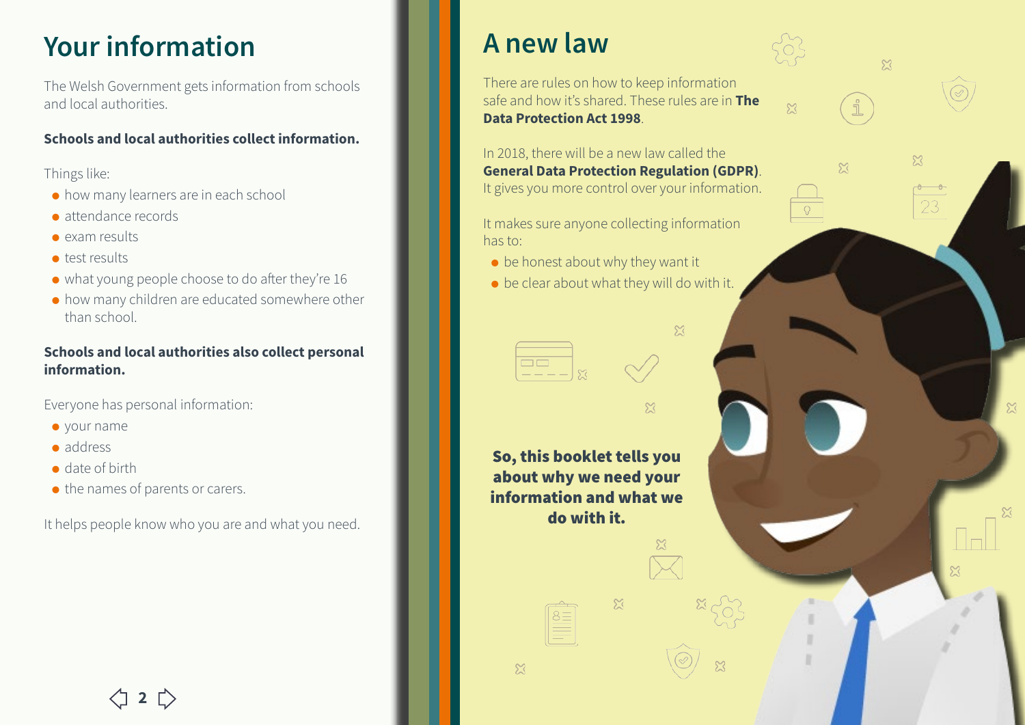## **Your information**

The Welsh Government gets information from schools and local authorities.

#### **Schools and local authorities collect information.**

Things like:

- ⚫ how many learners are in each school
- ⚫ attendance records
- ⚫ exam results
- ⚫ test results
- ⚫ what young people choose to do after they're 16
- ⚫ how many children are educated somewhere other than school.

#### **Schools and local authorities also collect personal information.**

Everyone has personal information:

- ⚫ your name
- ⚫ address
- ⚫ date of birth
- the names of parents or carers.

It helps people know who you are and what you need.

## **A new law**

There are rules on how to keep information safe and how it's shared. These rules are in **The Data Protection Act 1998**.

 $\mathbb{Z}$ 

 $\mathbb{Z}$ 

 $\mathbb{X}$ 

 $\mathbb{Z}$ 

In 2018, there will be a new law called the **General Data Protection Regulation (GDPR)**. It gives you more control over your information.

It makes sure anyone collecting information has to:

- $\bullet$  be honest about why they want it
- ⚫ be clear about what they will do with it.

 $\mathbb{Z}$ 

 $\widetilde{\Sigma}$ 

So, this booklet tells you about why we need your information and what we do with it.

 $\mathbb{Z}$ 

 $\mathbb{Z}$ 

 $2 \bigupupright$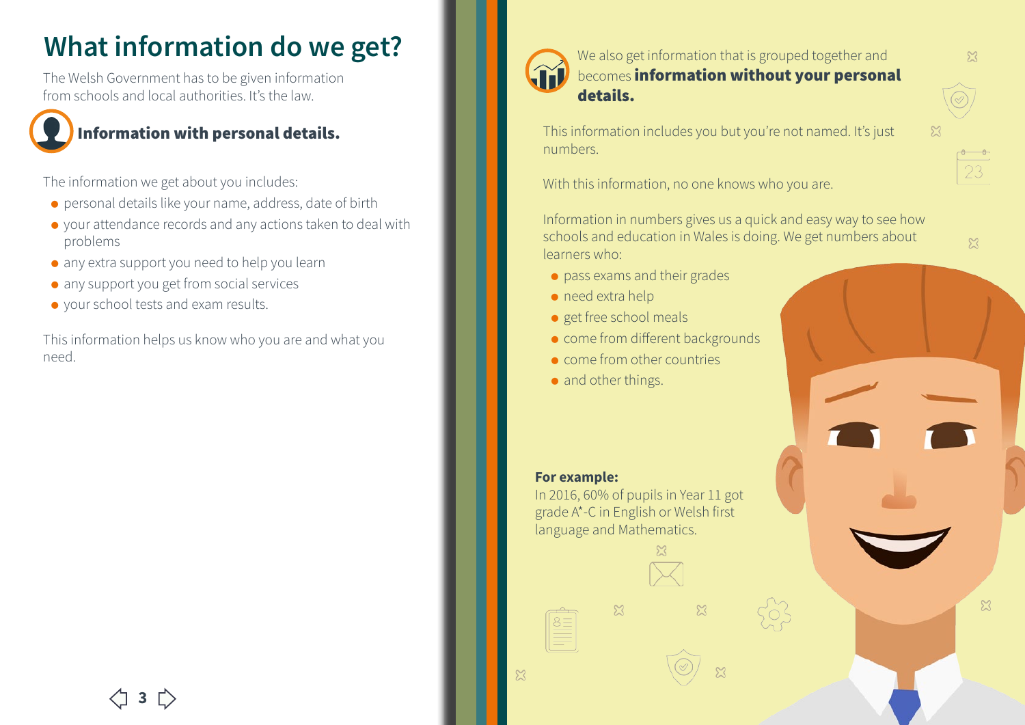## **What information do we get?**

The Welsh Government has to be given information from schools and local authorities. It's the law.

### Information with personal details.

The information we get about you includes:

- ⚫ personal details like your name, address, date of birth
- ⚫ your attendance records and any actions taken to deal with problems
- ⚫ any extra support you need to help you learn
- any support you get from social services
- ⚫ your school tests and exam results.

This information helps us know who you are and what you need.



### We also get information that is grouped together and **becomes information without your personal** details.

This information includes you but you're not named. It's just numbers.

With this information, no one knows who you are.

Information in numbers gives us a quick and easy way to see how schools and education in Wales is doing. We get numbers about learners who:

- ⚫ pass exams and their grades
- ⚫ need extra help
- ⚫ get free school meals
- come from different backgrounds
- ⚫ come from other countries
- and other things.

#### **For example:**

In 2016, 60% of pupils in Year 11 got grade A\*-C in English or Welsh first language and Mathematics.

 $\mathbb{Z}$ 

 $\widetilde{\mathcal{K}}$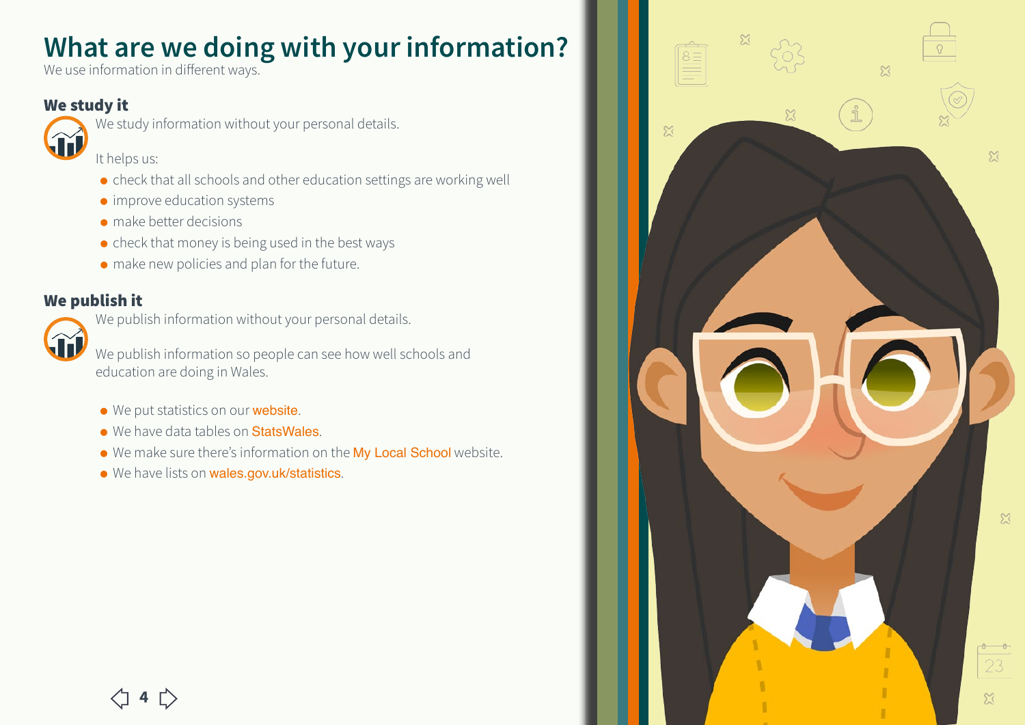## **What are we doing with your information?**

We use information in different ways.

### We study it



We study information without your personal details.

It helps us:

- ⚫ check that all schools and other education settings are working well
- ⚫ improve education systems
- ⚫ make better decisions
- check that money is being used in the best ways
- ⚫ make new policies and plan for the future.

### We publish it

We publish information without your personal details.

We publish information so people can see how well schools and education are doing in Wales.

- We put statistics on our **[website](http://gov.wales)**.
- We have data tables on **[StatsWales](https://statswales.gov.wales/Catalogue)**.
- ⚫ We make sure there's information on the [My Local School](http://mylocalschool.wales.gov.uk/) website.
- We have lists on [wales.gov.uk/statistics](http://www.wales.gov.uk/statistics).

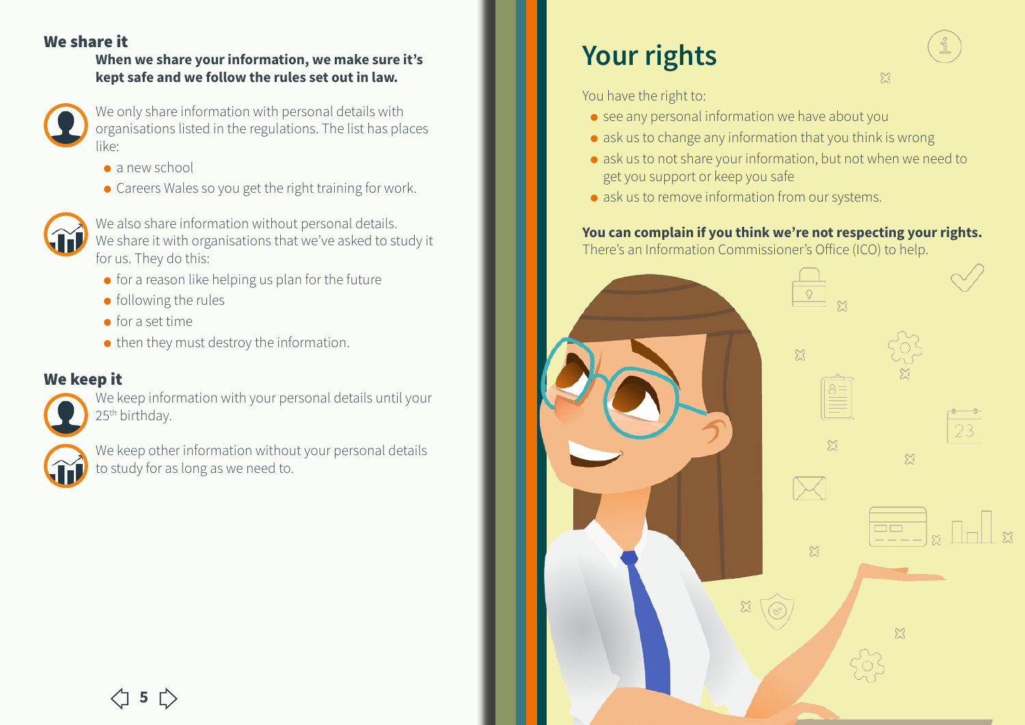### We share it

#### **When we share your information, we make sure it's kept safe and we follow the rules set out in law.**



We only share information with personal details with organisations listed in the regulations. The list has places like:

- ⚫ a new school
- ⚫ Careers Wales so you get the right training for work.



We also share information without personal details. We share it with organisations that we've asked to study it for us. They do this:

- ⚫ for a reason like helping us plan for the future
- ⚫ following the rules
- $\bullet$  for a set time
- then they must destroy the information.

### We keep it

We keep information with your personal details until your 25<sup>th</sup> birthday.



We keep other information without your personal details to study for as long as we need to.

## **Your rights**

You have the right to:

- see any personal information we have about you
- ⚫ ask us to change any information that you think is wrong
- ⚫ ask us to not share your information, but not when we need to get you support or keep you safe
- ask us to remove information from our systems.

#### **You can complain if you think we're not respecting your rights.**  There's an Information Commissioner's Office (ICO) to help.



 $\mathbb{Z}$